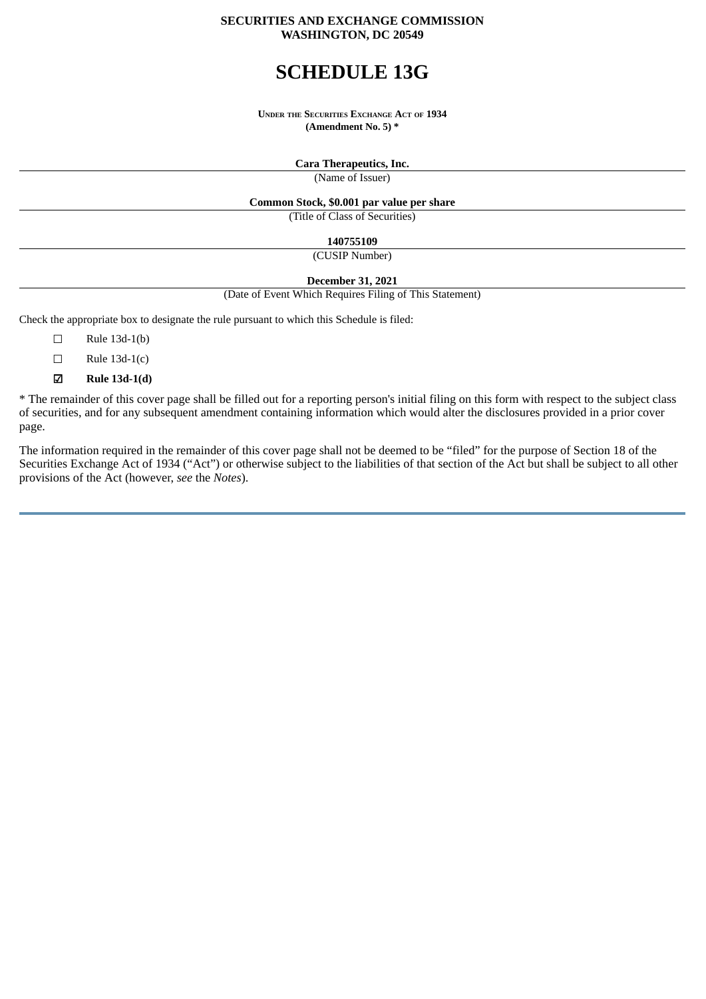## **SECURITIES AND EXCHANGE COMMISSION WASHINGTON, DC 20549**

# **SCHEDULE 13G**

**UNDER THE SECURITIES EXCHANGE ACT OF 1934 (Amendment No. 5) \***

> **Cara Therapeutics, Inc.** (Name of Issuer)

**Common Stock, \$0.001 par value per share**

(Title of Class of Securities)

**140755109**

(CUSIP Number)

**December 31, 2021**

(Date of Event Which Requires Filing of This Statement)

Check the appropriate box to designate the rule pursuant to which this Schedule is filed:

- ☐ Rule 13d-1(b)
- $\Box$  Rule 13d-1(c)
- ☑ **Rule 13d-1(d)**

\* The remainder of this cover page shall be filled out for a reporting person's initial filing on this form with respect to the subject class of securities, and for any subsequent amendment containing information which would alter the disclosures provided in a prior cover page.

The information required in the remainder of this cover page shall not be deemed to be "filed" for the purpose of Section 18 of the Securities Exchange Act of 1934 ("Act") or otherwise subject to the liabilities of that section of the Act but shall be subject to all other provisions of the Act (however, *see* the *Notes*).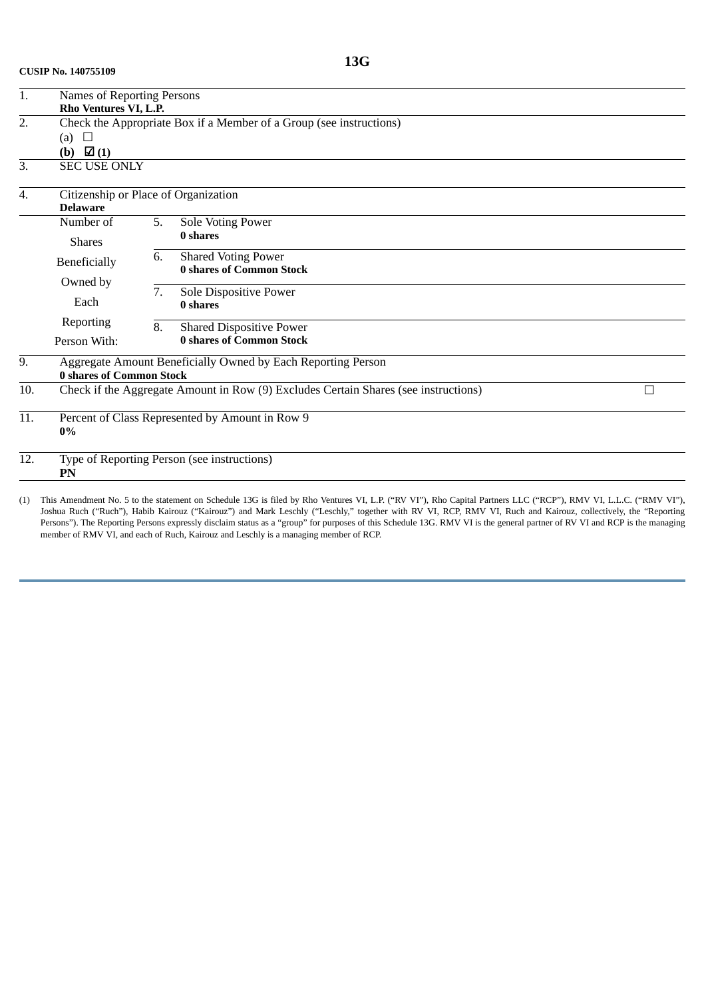| 1.                                                            | Names of Reporting Persons                                                                   |    |                                                                                     |   |  |  |  |  |
|---------------------------------------------------------------|----------------------------------------------------------------------------------------------|----|-------------------------------------------------------------------------------------|---|--|--|--|--|
| 2.                                                            | Rho Ventures VI, L.P.<br>Check the Appropriate Box if a Member of a Group (see instructions) |    |                                                                                     |   |  |  |  |  |
|                                                               | $\Box$                                                                                       |    |                                                                                     |   |  |  |  |  |
|                                                               | (a)<br>(b) $\boxtimes$ (1)                                                                   |    |                                                                                     |   |  |  |  |  |
| 3.                                                            | <b>SEC USE ONLY</b>                                                                          |    |                                                                                     |   |  |  |  |  |
| Citizenship or Place of Organization<br>4.<br><b>Delaware</b> |                                                                                              |    |                                                                                     |   |  |  |  |  |
|                                                               | Number of                                                                                    | 5. | Sole Voting Power                                                                   |   |  |  |  |  |
|                                                               | <b>Shares</b>                                                                                |    | 0 shares                                                                            |   |  |  |  |  |
|                                                               | Beneficially                                                                                 | 6. | <b>Shared Voting Power</b><br><b>0 shares of Common Stock</b>                       |   |  |  |  |  |
|                                                               | Owned by                                                                                     |    |                                                                                     |   |  |  |  |  |
|                                                               |                                                                                              | 7. | Sole Dispositive Power                                                              |   |  |  |  |  |
|                                                               | Each                                                                                         |    | 0 shares                                                                            |   |  |  |  |  |
|                                                               | Reporting                                                                                    | 8. | <b>Shared Dispositive Power</b>                                                     |   |  |  |  |  |
|                                                               | Person With:                                                                                 |    | <b>0 shares of Common Stock</b>                                                     |   |  |  |  |  |
| 9.                                                            |                                                                                              |    | Aggregate Amount Beneficially Owned by Each Reporting Person                        |   |  |  |  |  |
|                                                               | 0 shares of Common Stock                                                                     |    |                                                                                     |   |  |  |  |  |
| 10.                                                           |                                                                                              |    | Check if the Aggregate Amount in Row (9) Excludes Certain Shares (see instructions) | П |  |  |  |  |
| 11.                                                           | Percent of Class Represented by Amount in Row 9<br>$0\%$                                     |    |                                                                                     |   |  |  |  |  |
| 12.                                                           | Type of Reporting Person (see instructions)<br>PN                                            |    |                                                                                     |   |  |  |  |  |
|                                                               |                                                                                              |    |                                                                                     |   |  |  |  |  |

(1) This Amendment No. 5 to the statement on Schedule 13G is filed by Rho Ventures VI, L.P. ("RV VI"), Rho Capital Partners LLC ("RCP"), RMV VI, L.L.C. ("RMV VI"), Joshua Ruch ("Ruch"), Habib Kairouz ("Kairouz") and Mark Leschly ("Leschly," together with RV VI, RCP, RMV VI, Ruch and Kairouz, collectively, the "Reporting Persons"). The Reporting Persons expressly disclaim status as a "group" for purposes of this Schedule 13G. RMV VI is the general partner of RV VI and RCP is the managing member of RMV VI, and each of Ruch, Kairouz and Leschly is a managing member of RCP.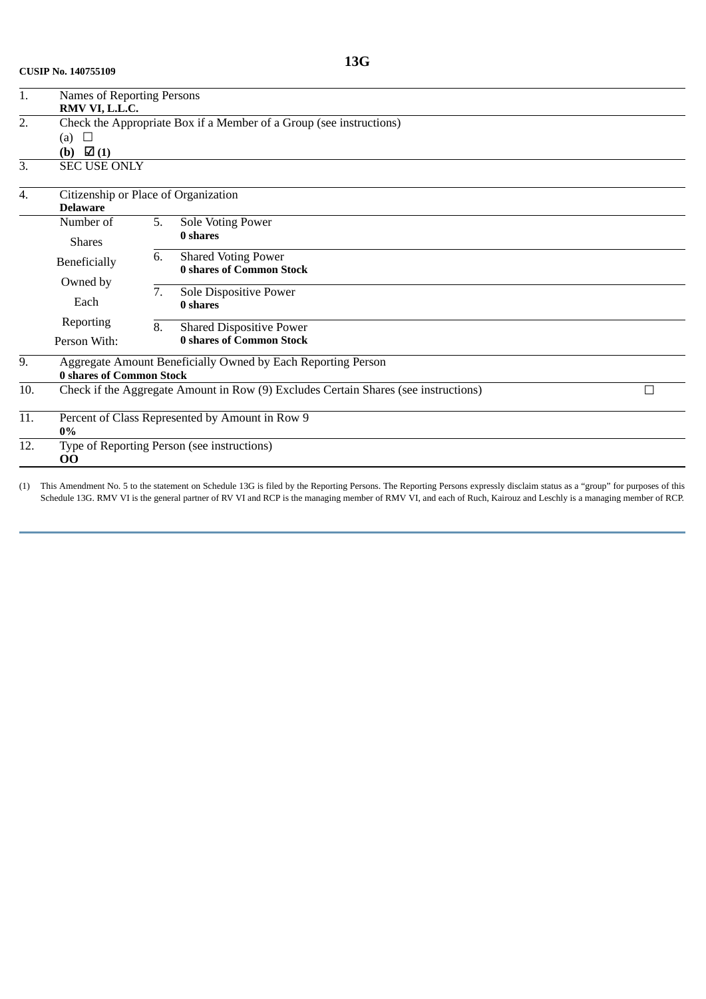**CUSIP No. 140755109**

| 1.  | Names of Reporting Persons                                                               |                                      |                                                              |  |  |  |  |  |  |
|-----|------------------------------------------------------------------------------------------|--------------------------------------|--------------------------------------------------------------|--|--|--|--|--|--|
|     | RMV VI, L.L.C.                                                                           |                                      |                                                              |  |  |  |  |  |  |
| 2.  | Check the Appropriate Box if a Member of a Group (see instructions)                      |                                      |                                                              |  |  |  |  |  |  |
|     | (a)<br>$\Box$                                                                            |                                      |                                                              |  |  |  |  |  |  |
|     | (b) $\boxtimes$ (1)                                                                      |                                      |                                                              |  |  |  |  |  |  |
| 3.  | <b>SEC USE ONLY</b>                                                                      |                                      |                                                              |  |  |  |  |  |  |
| 4.  |                                                                                          | Citizenship or Place of Organization |                                                              |  |  |  |  |  |  |
|     | <b>Delaware</b>                                                                          |                                      |                                                              |  |  |  |  |  |  |
|     | Number of                                                                                | 5.                                   | Sole Voting Power                                            |  |  |  |  |  |  |
|     | <b>Shares</b>                                                                            |                                      | 0 shares                                                     |  |  |  |  |  |  |
|     | Beneficially                                                                             | 6.                                   | <b>Shared Voting Power</b>                                   |  |  |  |  |  |  |
|     | Owned by                                                                                 |                                      | <b>0 shares of Common Stock</b>                              |  |  |  |  |  |  |
|     |                                                                                          | 7.                                   | Sole Dispositive Power                                       |  |  |  |  |  |  |
|     | Each                                                                                     |                                      | 0 shares                                                     |  |  |  |  |  |  |
|     | Reporting                                                                                | 8.                                   | <b>Shared Dispositive Power</b>                              |  |  |  |  |  |  |
|     | Person With:                                                                             |                                      | <b>0 shares of Common Stock</b>                              |  |  |  |  |  |  |
| 9.  |                                                                                          |                                      | Aggregate Amount Beneficially Owned by Each Reporting Person |  |  |  |  |  |  |
|     | <b>0 shares of Common Stock</b>                                                          |                                      |                                                              |  |  |  |  |  |  |
| 10. | Check if the Aggregate Amount in Row (9) Excludes Certain Shares (see instructions)<br>Ξ |                                      |                                                              |  |  |  |  |  |  |
| 11. | Percent of Class Represented by Amount in Row 9<br>0%                                    |                                      |                                                              |  |  |  |  |  |  |
| 12. | Type of Reporting Person (see instructions)<br><b>OO</b>                                 |                                      |                                                              |  |  |  |  |  |  |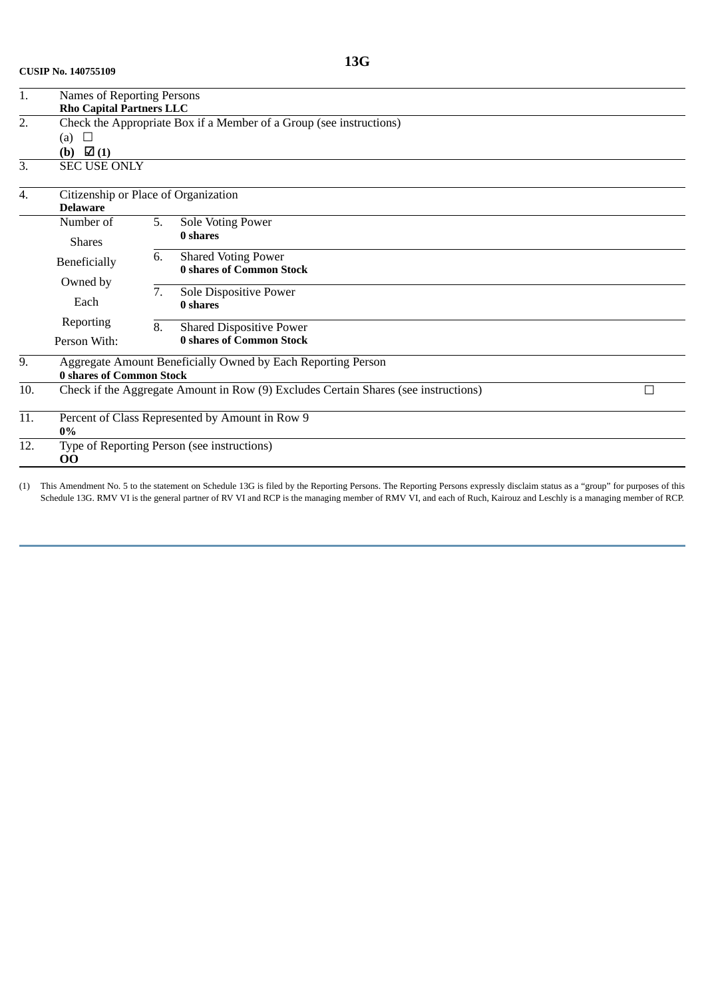| 1.  |                                                                     |                                      |                                                                                     |  |  |  |  |  |
|-----|---------------------------------------------------------------------|--------------------------------------|-------------------------------------------------------------------------------------|--|--|--|--|--|
|     | <b>Rho Capital Partners LLC</b>                                     |                                      |                                                                                     |  |  |  |  |  |
| 2.  | Check the Appropriate Box if a Member of a Group (see instructions) |                                      |                                                                                     |  |  |  |  |  |
|     | $\Box$<br>(a)                                                       |                                      |                                                                                     |  |  |  |  |  |
|     | (b) $\boxtimes$ (1)                                                 |                                      |                                                                                     |  |  |  |  |  |
| 3.  | <b>SEC USE ONLY</b>                                                 |                                      |                                                                                     |  |  |  |  |  |
| 4.  |                                                                     | Citizenship or Place of Organization |                                                                                     |  |  |  |  |  |
|     | <b>Delaware</b>                                                     |                                      |                                                                                     |  |  |  |  |  |
|     | Number of                                                           | 5.                                   | Sole Voting Power                                                                   |  |  |  |  |  |
|     | <b>Shares</b>                                                       |                                      | 0 shares                                                                            |  |  |  |  |  |
|     | 6.<br>Beneficially<br>Owned by<br>7.<br>Each                        |                                      | <b>Shared Voting Power</b>                                                          |  |  |  |  |  |
|     |                                                                     |                                      | <b>0 shares of Common Stock</b>                                                     |  |  |  |  |  |
|     |                                                                     |                                      | Sole Dispositive Power                                                              |  |  |  |  |  |
|     |                                                                     |                                      | 0 shares                                                                            |  |  |  |  |  |
|     | Reporting                                                           | 8.                                   | <b>Shared Dispositive Power</b>                                                     |  |  |  |  |  |
|     | Person With:                                                        |                                      | <b>0 shares of Common Stock</b>                                                     |  |  |  |  |  |
| 9.  |                                                                     |                                      | Aggregate Amount Beneficially Owned by Each Reporting Person                        |  |  |  |  |  |
|     | <b>0 shares of Common Stock</b>                                     |                                      |                                                                                     |  |  |  |  |  |
| 10. |                                                                     |                                      | Check if the Aggregate Amount in Row (9) Excludes Certain Shares (see instructions) |  |  |  |  |  |
| 11. | Percent of Class Represented by Amount in Row 9<br>0%               |                                      |                                                                                     |  |  |  |  |  |
| 12. | Type of Reporting Person (see instructions)<br>00                   |                                      |                                                                                     |  |  |  |  |  |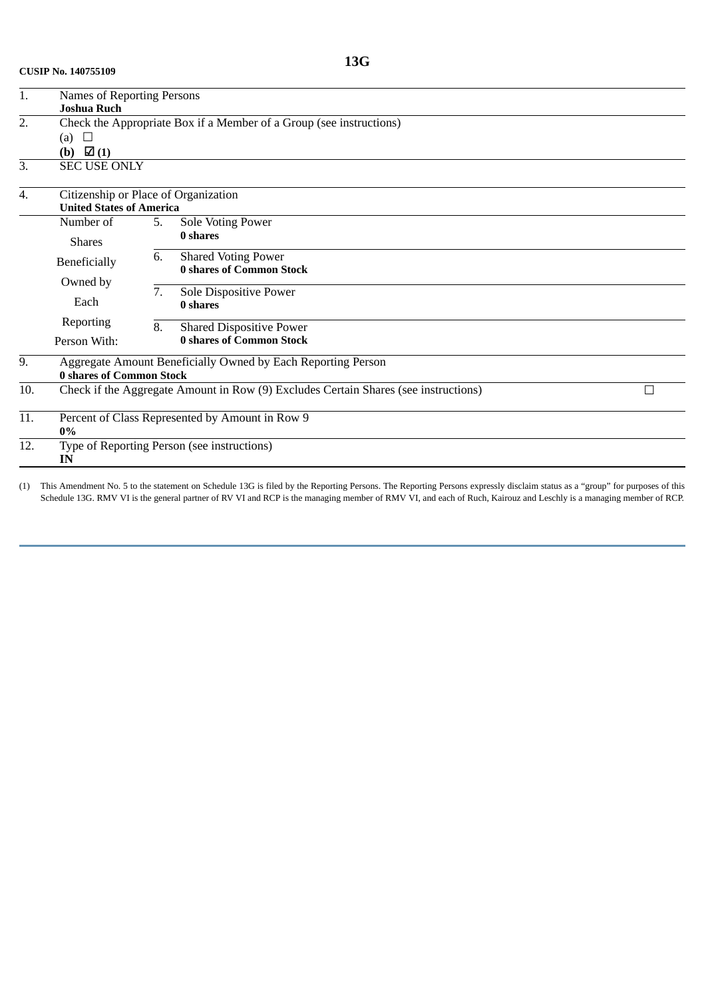**CUSIP No. 140755109**

| 1.  | Names of Reporting Persons                                          |                                      |                                                                                     |  |  |  |  |  |
|-----|---------------------------------------------------------------------|--------------------------------------|-------------------------------------------------------------------------------------|--|--|--|--|--|
|     | <b>Joshua Ruch</b>                                                  |                                      |                                                                                     |  |  |  |  |  |
| 2.  | Check the Appropriate Box if a Member of a Group (see instructions) |                                      |                                                                                     |  |  |  |  |  |
|     | (a) $\Box$                                                          |                                      |                                                                                     |  |  |  |  |  |
|     | (b) $\boxtimes$ (1)                                                 |                                      |                                                                                     |  |  |  |  |  |
| 3.  | <b>SEC USE ONLY</b>                                                 |                                      |                                                                                     |  |  |  |  |  |
| 4.  |                                                                     | Citizenship or Place of Organization |                                                                                     |  |  |  |  |  |
|     |                                                                     | <b>United States of America</b>      |                                                                                     |  |  |  |  |  |
|     | Number of                                                           | 5.                                   | Sole Voting Power                                                                   |  |  |  |  |  |
|     | <b>Shares</b>                                                       |                                      | 0 shares                                                                            |  |  |  |  |  |
|     | Beneficially<br>Owned by<br>Each                                    | 6.                                   | <b>Shared Voting Power</b>                                                          |  |  |  |  |  |
|     |                                                                     |                                      | <b>0 shares of Common Stock</b>                                                     |  |  |  |  |  |
|     |                                                                     | 7.                                   | Sole Dispositive Power                                                              |  |  |  |  |  |
|     |                                                                     |                                      | 0 shares                                                                            |  |  |  |  |  |
|     | Reporting                                                           | 8.                                   | <b>Shared Dispositive Power</b>                                                     |  |  |  |  |  |
|     | Person With:                                                        |                                      | <b>0 shares of Common Stock</b>                                                     |  |  |  |  |  |
| 9.  | Aggregate Amount Beneficially Owned by Each Reporting Person        |                                      |                                                                                     |  |  |  |  |  |
|     | <b>0 shares of Common Stock</b>                                     |                                      |                                                                                     |  |  |  |  |  |
| 10. |                                                                     |                                      | Check if the Aggregate Amount in Row (9) Excludes Certain Shares (see instructions) |  |  |  |  |  |
| 11. | Percent of Class Represented by Amount in Row 9                     |                                      |                                                                                     |  |  |  |  |  |
|     |                                                                     | 0%                                   |                                                                                     |  |  |  |  |  |
| 12. | Type of Reporting Person (see instructions)<br>IN                   |                                      |                                                                                     |  |  |  |  |  |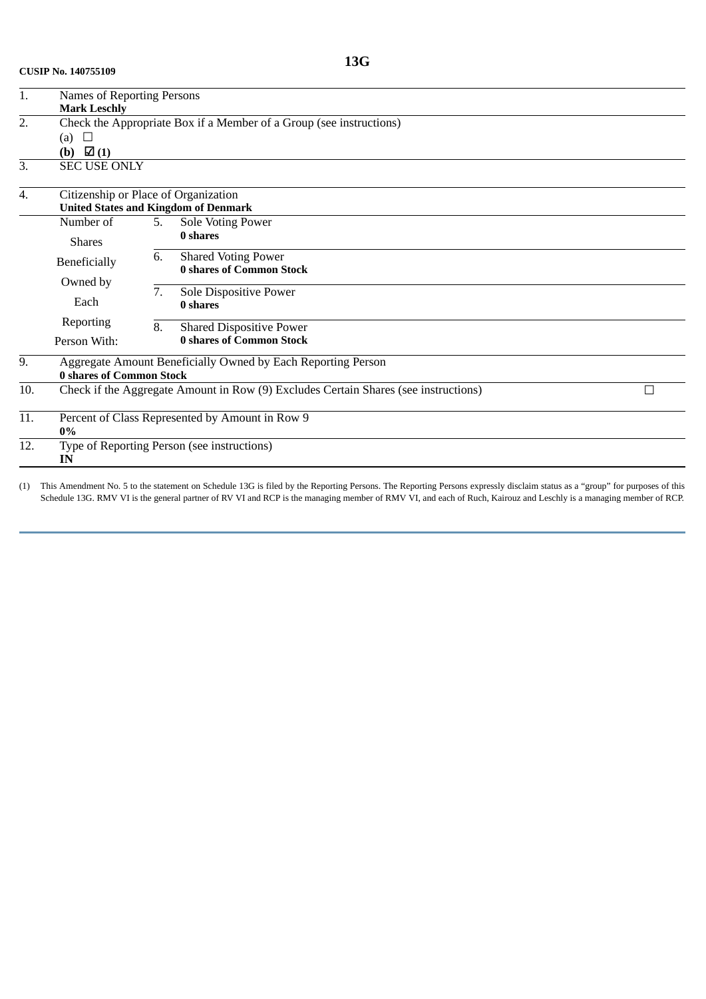| 1.  | Names of Reporting Persons                                          |                                             |                                                                                     |   |  |  |  |  |
|-----|---------------------------------------------------------------------|---------------------------------------------|-------------------------------------------------------------------------------------|---|--|--|--|--|
|     | <b>Mark Leschly</b>                                                 |                                             |                                                                                     |   |  |  |  |  |
| 2.  | Check the Appropriate Box if a Member of a Group (see instructions) |                                             |                                                                                     |   |  |  |  |  |
|     | (a) $\Box$                                                          |                                             |                                                                                     |   |  |  |  |  |
|     | $\Box$ (1)<br>(b)                                                   |                                             |                                                                                     |   |  |  |  |  |
| 3.  | <b>SEC USE ONLY</b>                                                 |                                             |                                                                                     |   |  |  |  |  |
| 4.  | Citizenship or Place of Organization                                |                                             |                                                                                     |   |  |  |  |  |
|     |                                                                     | <b>United States and Kingdom of Denmark</b> |                                                                                     |   |  |  |  |  |
|     | Number of                                                           | 5.                                          | Sole Voting Power                                                                   |   |  |  |  |  |
|     | <b>Shares</b>                                                       |                                             | 0 shares                                                                            |   |  |  |  |  |
|     | 6.<br>Beneficially<br>Owned by<br>7.<br>Each                        |                                             | <b>Shared Voting Power</b>                                                          |   |  |  |  |  |
|     |                                                                     |                                             | <b>0 shares of Common Stock</b>                                                     |   |  |  |  |  |
|     |                                                                     |                                             | Sole Dispositive Power                                                              |   |  |  |  |  |
|     |                                                                     |                                             | 0 shares                                                                            |   |  |  |  |  |
|     | Reporting                                                           | 8.                                          | <b>Shared Dispositive Power</b>                                                     |   |  |  |  |  |
|     | Person With:                                                        |                                             | <b>0 shares of Common Stock</b>                                                     |   |  |  |  |  |
| 9.  |                                                                     |                                             | Aggregate Amount Beneficially Owned by Each Reporting Person                        |   |  |  |  |  |
|     | <b>0 shares of Common Stock</b>                                     |                                             |                                                                                     |   |  |  |  |  |
| 10. |                                                                     |                                             | Check if the Aggregate Amount in Row (9) Excludes Certain Shares (see instructions) | Г |  |  |  |  |
| 11. | Percent of Class Represented by Amount in Row 9                     |                                             |                                                                                     |   |  |  |  |  |
| 12. | $0\%$                                                               |                                             |                                                                                     |   |  |  |  |  |
|     | Type of Reporting Person (see instructions)<br>IN                   |                                             |                                                                                     |   |  |  |  |  |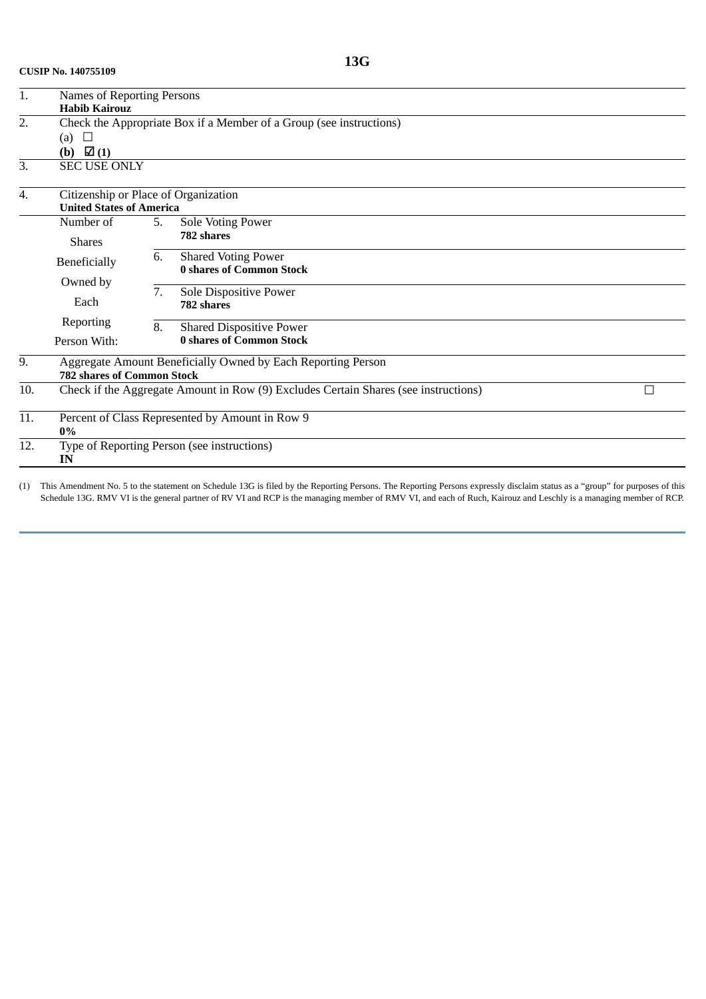| 1.  | Names of Reporting Persons                                          |                                 |                                                                                     |   |  |  |  |  |
|-----|---------------------------------------------------------------------|---------------------------------|-------------------------------------------------------------------------------------|---|--|--|--|--|
|     | <b>Habib Kairouz</b>                                                |                                 |                                                                                     |   |  |  |  |  |
| 2.  | Check the Appropriate Box if a Member of a Group (see instructions) |                                 |                                                                                     |   |  |  |  |  |
|     | (a) $\Box$                                                          |                                 |                                                                                     |   |  |  |  |  |
|     | (b) $\boxtimes$ (1)                                                 |                                 |                                                                                     |   |  |  |  |  |
| 3.  | <b>SEC USE ONLY</b>                                                 |                                 |                                                                                     |   |  |  |  |  |
| 4.  | Citizenship or Place of Organization                                |                                 |                                                                                     |   |  |  |  |  |
|     |                                                                     | <b>United States of America</b> |                                                                                     |   |  |  |  |  |
|     | Number of                                                           | 5.                              | Sole Voting Power                                                                   |   |  |  |  |  |
|     | <b>Shares</b>                                                       |                                 | 782 shares                                                                          |   |  |  |  |  |
|     | Beneficially<br>Owned by<br>Each                                    | 6.                              | <b>Shared Voting Power</b>                                                          |   |  |  |  |  |
|     |                                                                     |                                 | <b>0 shares of Common Stock</b>                                                     |   |  |  |  |  |
|     |                                                                     | 7.                              | Sole Dispositive Power                                                              |   |  |  |  |  |
|     |                                                                     |                                 | 782 shares                                                                          |   |  |  |  |  |
|     | Reporting                                                           | 8.                              | <b>Shared Dispositive Power</b>                                                     |   |  |  |  |  |
|     | Person With:                                                        |                                 | <b>0 shares of Common Stock</b>                                                     |   |  |  |  |  |
| 9.  |                                                                     |                                 | Aggregate Amount Beneficially Owned by Each Reporting Person                        |   |  |  |  |  |
|     | <b>782 shares of Common Stock</b>                                   |                                 |                                                                                     |   |  |  |  |  |
| 10. |                                                                     |                                 | Check if the Aggregate Amount in Row (9) Excludes Certain Shares (see instructions) | г |  |  |  |  |
| 11. |                                                                     |                                 | Percent of Class Represented by Amount in Row 9                                     |   |  |  |  |  |
|     | 0%                                                                  |                                 |                                                                                     |   |  |  |  |  |
| 12. | IN                                                                  |                                 | Type of Reporting Person (see instructions)                                         |   |  |  |  |  |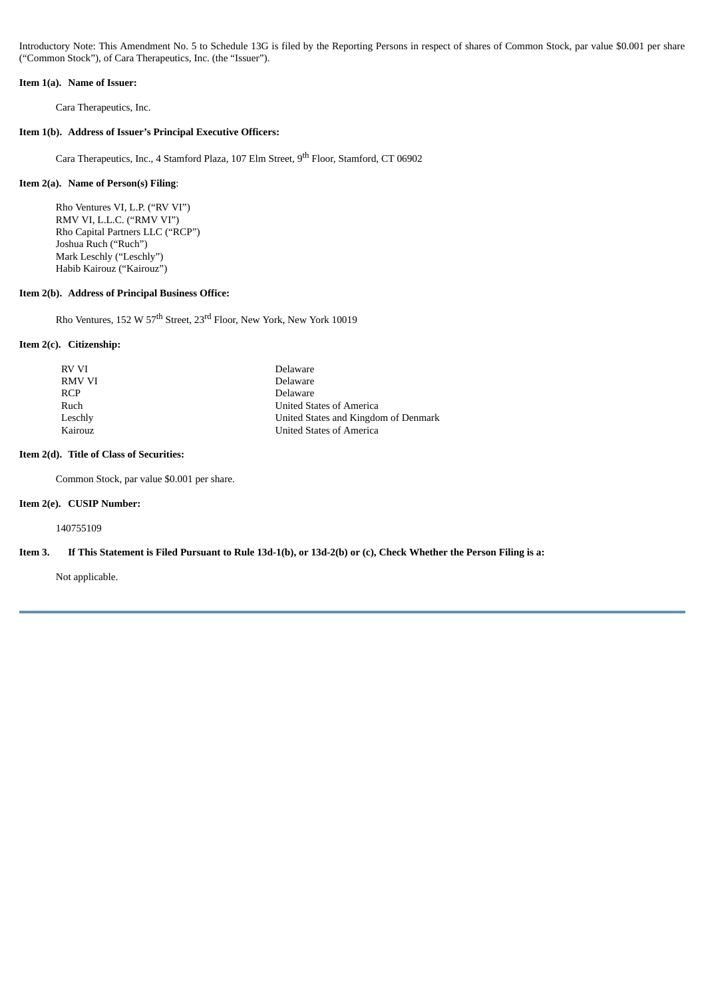Introductory Note: This Amendment No. 5 to Schedule 13G is filed by the Reporting Persons in respect of shares of Common Stock, par value \$0.001 per share ("Common Stock"), of Cara Therapeutics, Inc. (the "Issuer").

#### **Item 1(a). Name of Issuer:**

Cara Therapeutics, Inc.

#### **Item 1(b). Address of Issuer's Principal Executive Officers:**

Cara Therapeutics, Inc., 4 Stamford Plaza, 107 Elm Street, 9<sup>th</sup> Floor, Stamford, CT 06902

#### **Item 2(a). Name of Person(s) Filing**:

Rho Ventures VI, L.P. ("RV VI") RMV VI, L.L.C. ("RMV VI") Rho Capital Partners LLC ("RCP") Joshua Ruch ("Ruch") Mark Leschly ("Leschly") Habib Kairouz ("Kairouz")

## **Item 2(b). Address of Principal Business Office:**

Rho Ventures, 152 W 57<sup>th</sup> Street, 23<sup>rd</sup> Floor, New York, New York 10019

#### **Item 2(c). Citizenship:**

| RV VI      | Delaware                             |
|------------|--------------------------------------|
| RMV VI     | Delaware                             |
| <b>RCP</b> | Delaware                             |
| Ruch       | United States of America             |
| Leschly    | United States and Kingdom of Denmark |
| Kairouz    | <b>United States of America</b>      |

#### **Item 2(d). Title of Class of Securities:**

Common Stock, par value \$0.001 per share.

## **Item 2(e). CUSIP Number:**

140755109

#### Item 3. If This Statement is Filed Pursuant to Rule 13d-1(b), or 13d-2(b) or (c), Check Whether the Person Filing is a:

Not applicable.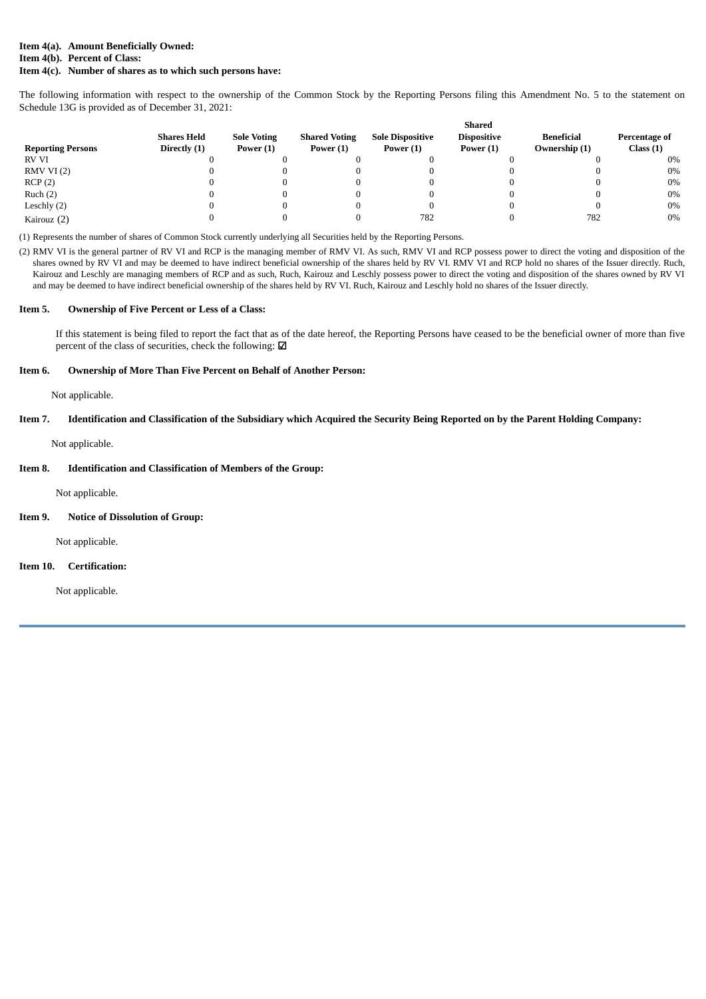## **Item 4(a). Amount Beneficially Owned: Item 4(b). Percent of Class:**

#### **Item 4(c). Number of shares as to which such persons have:**

The following information with respect to the ownership of the Common Stock by the Reporting Persons filing this Amendment No. 5 to the statement on Schedule 13G is provided as of December 31, 2021:

|                          |                    |                    |                      |                         | Shared             |                   |               |
|--------------------------|--------------------|--------------------|----------------------|-------------------------|--------------------|-------------------|---------------|
|                          | <b>Shares Held</b> | <b>Sole Voting</b> | <b>Shared Voting</b> | <b>Sole Dispositive</b> | <b>Dispositive</b> | <b>Beneficial</b> | Percentage of |
| <b>Reporting Persons</b> | Directly (1)       | Power $(1)$        | Power $(1)$          | Power $(1)$             | Power $(1)$        | Ownership (1)     | Class(1)      |
| <b>RV VI</b>             |                    |                    |                      |                         |                    |                   | $0\%$         |
| RMVVI(2)                 |                    |                    |                      |                         |                    |                   | 0%            |
| RCP(2)                   |                    |                    |                      |                         |                    |                   | 0%            |
| Ruch(2)                  |                    |                    |                      |                         |                    |                   | 0%            |
| Leschly $(2)$            |                    |                    |                      |                         |                    |                   | 0%            |
| Kairouz (2)              |                    |                    |                      | 782                     |                    | 782               | $0\%$         |

(1) Represents the number of shares of Common Stock currently underlying all Securities held by the Reporting Persons.

(2) RMV VI is the general partner of RV VI and RCP is the managing member of RMV VI. As such, RMV VI and RCP possess power to direct the voting and disposition of the shares owned by RV VI and may be deemed to have indirect beneficial ownership of the shares held by RV VI. RMV VI and RCP hold no shares of the Issuer directly. Ruch, Kairouz and Leschly are managing members of RCP and as such, Ruch, Kairouz and Leschly possess power to direct the voting and disposition of the shares owned by RV VI and may be deemed to have indirect beneficial ownership of the shares held by RV VI. Ruch, Kairouz and Leschly hold no shares of the Issuer directly.

#### **Item 5. Ownership of Five Percent or Less of a Class:**

If this statement is being filed to report the fact that as of the date hereof, the Reporting Persons have ceased to be the beneficial owner of more than five percent of the class of securities, check the following: ☑

#### **Item 6. Ownership of More Than Five Percent on Behalf of Another Person:**

Not applicable.

#### Item 7. Identification and Classification of the Subsidiary which Acquired the Security Being Reported on by the Parent Holding Company:

Not applicable.

#### **Item 8. Identification and Classification of Members of the Group:**

Not applicable.

#### **Item 9. Notice of Dissolution of Group:**

Not applicable.

## **Item 10. Certification:**

Not applicable.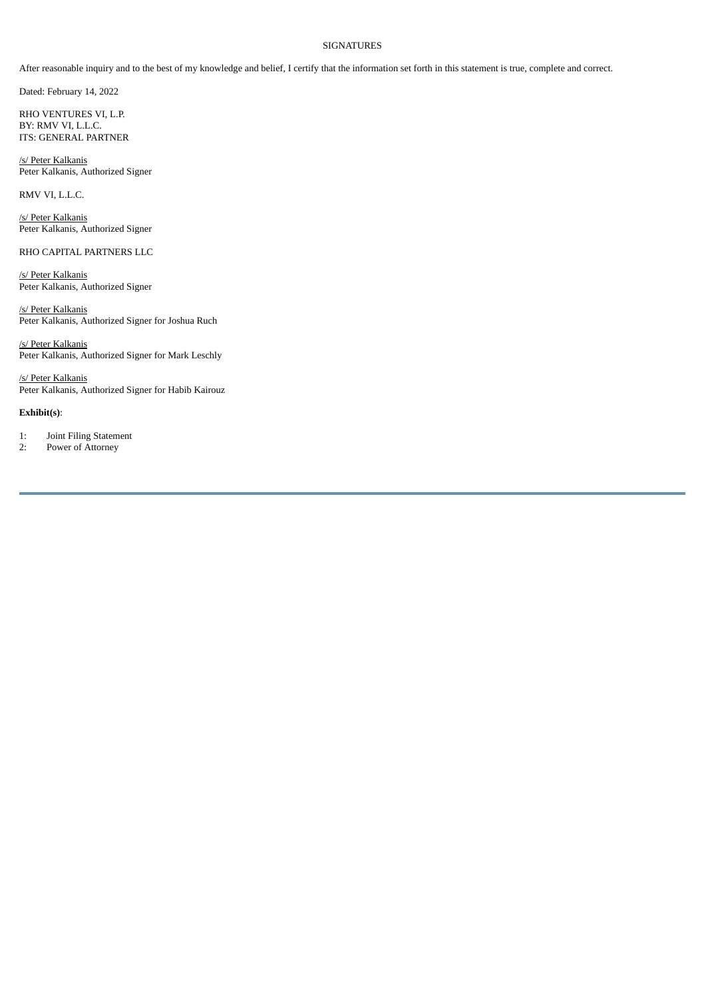#### SIGNATURES

After reasonable inquiry and to the best of my knowledge and belief, I certify that the information set forth in this statement is true, complete and correct.

Dated: February 14, 2022

RHO VENTURES VI, L.P. BY: RMV VI, L.L.C. ITS: GENERAL PARTNER

/s/ Peter Kalkanis Peter Kalkanis, Authorized Signer

RMV VI, L.L.C.

/s/ Peter Kalkanis Peter Kalkanis, Authorized Signer

RHO CAPITAL PARTNERS LLC

/s/ Peter Kalkanis Peter Kalkanis, Authorized Signer

/s/ Peter Kalkanis Peter Kalkanis, Authorized Signer for Joshua Ruch

/s/ Peter Kalkanis Peter Kalkanis, Authorized Signer for Mark Leschly

/s/ Peter Kalkanis Peter Kalkanis, Authorized Signer for Habib Kairouz

#### **Exhibit(s)**:

1: Joint Filing Statement<br>2: Power of Attorney

Power of Attorney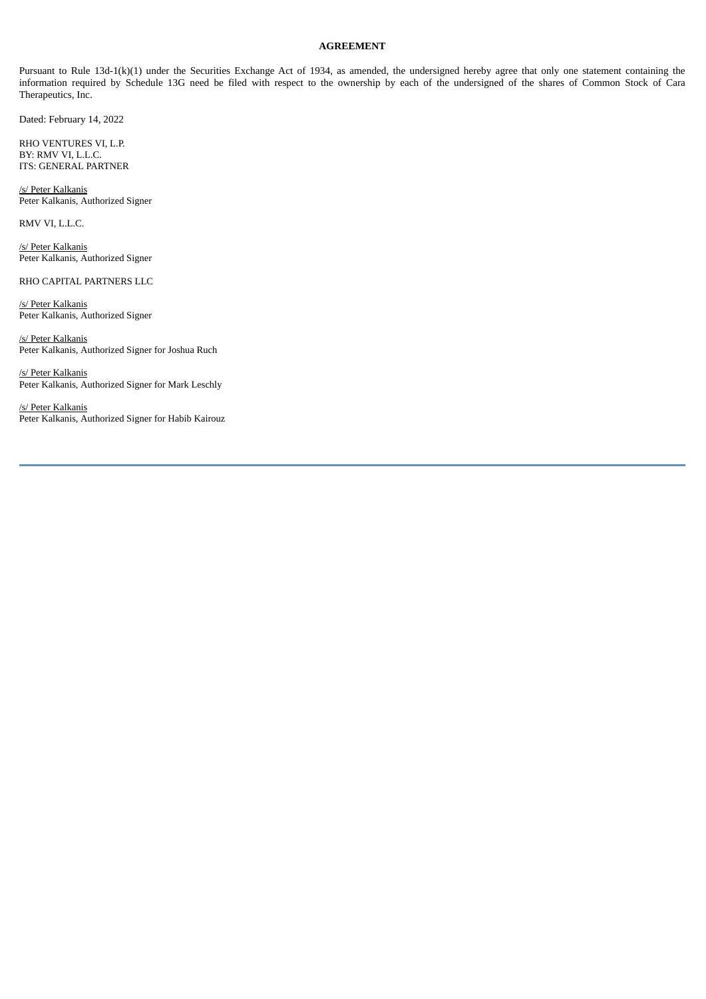## **AGREEMENT**

Pursuant to Rule 13d-1(k)(1) under the Securities Exchange Act of 1934, as amended, the undersigned hereby agree that only one statement containing the information required by Schedule 13G need be filed with respect to the ownership by each of the undersigned of the shares of Common Stock of Cara Therapeutics, Inc.

Dated: February 14, 2022

RHO VENTURES VI, L.P. BY: RMV VI, L.L.C. ITS: GENERAL PARTNER

/s/ Peter Kalkanis Peter Kalkanis, Authorized Signer

RMV VI, L.L.C.

/s/ Peter Kalkanis Peter Kalkanis, Authorized Signer

RHO CAPITAL PARTNERS LLC

/s/ Peter Kalkanis Peter Kalkanis, Authorized Signer

/s/ Peter Kalkanis Peter Kalkanis, Authorized Signer for Joshua Ruch

/s/ Peter Kalkanis Peter Kalkanis, Authorized Signer for Mark Leschly

/s/ Peter Kalkanis Peter Kalkanis, Authorized Signer for Habib Kairouz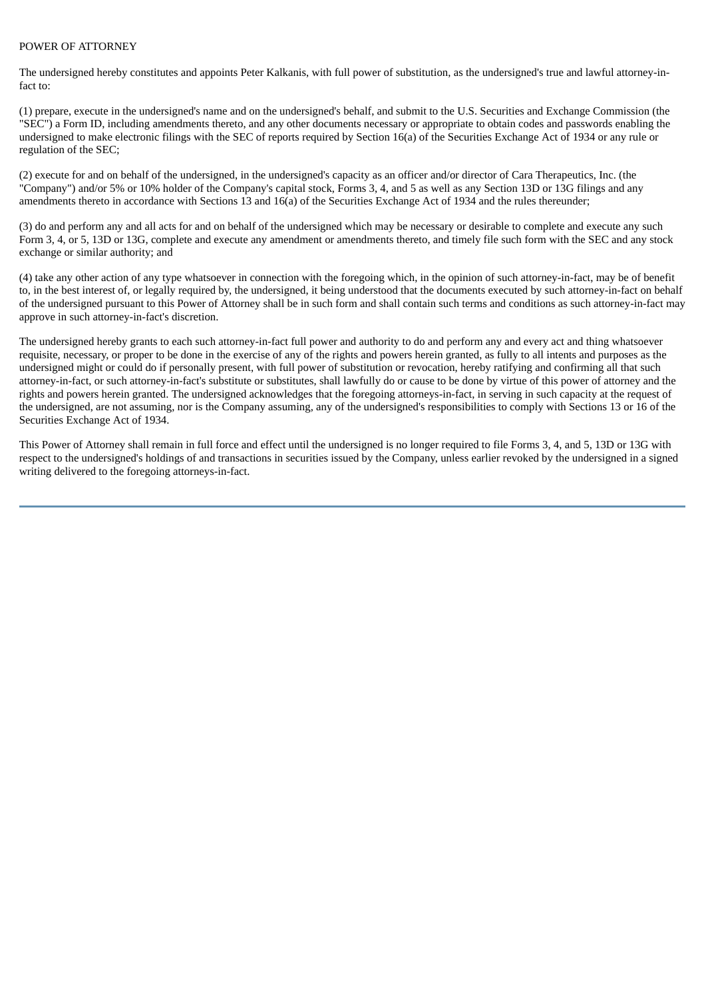## POWER OF ATTORNEY

The undersigned hereby constitutes and appoints Peter Kalkanis, with full power of substitution, as the undersigned's true and lawful attorney-infact to:

(1) prepare, execute in the undersigned's name and on the undersigned's behalf, and submit to the U.S. Securities and Exchange Commission (the "SEC") a Form ID, including amendments thereto, and any other documents necessary or appropriate to obtain codes and passwords enabling the undersigned to make electronic filings with the SEC of reports required by Section 16(a) of the Securities Exchange Act of 1934 or any rule or regulation of the SEC;

(2) execute for and on behalf of the undersigned, in the undersigned's capacity as an officer and/or director of Cara Therapeutics, Inc. (the "Company") and/or 5% or 10% holder of the Company's capital stock, Forms 3, 4, and 5 as well as any Section 13D or 13G filings and any amendments thereto in accordance with Sections 13 and 16(a) of the Securities Exchange Act of 1934 and the rules thereunder;

(3) do and perform any and all acts for and on behalf of the undersigned which may be necessary or desirable to complete and execute any such Form 3, 4, or 5, 13D or 13G, complete and execute any amendment or amendments thereto, and timely file such form with the SEC and any stock exchange or similar authority; and

(4) take any other action of any type whatsoever in connection with the foregoing which, in the opinion of such attorney-in-fact, may be of benefit to, in the best interest of, or legally required by, the undersigned, it being understood that the documents executed by such attorney-in-fact on behalf of the undersigned pursuant to this Power of Attorney shall be in such form and shall contain such terms and conditions as such attorney-in-fact may approve in such attorney-in-fact's discretion.

The undersigned hereby grants to each such attorney-in-fact full power and authority to do and perform any and every act and thing whatsoever requisite, necessary, or proper to be done in the exercise of any of the rights and powers herein granted, as fully to all intents and purposes as the undersigned might or could do if personally present, with full power of substitution or revocation, hereby ratifying and confirming all that such attorney-in-fact, or such attorney-in-fact's substitute or substitutes, shall lawfully do or cause to be done by virtue of this power of attorney and the rights and powers herein granted. The undersigned acknowledges that the foregoing attorneys-in-fact, in serving in such capacity at the request of the undersigned, are not assuming, nor is the Company assuming, any of the undersigned's responsibilities to comply with Sections 13 or 16 of the Securities Exchange Act of 1934.

This Power of Attorney shall remain in full force and effect until the undersigned is no longer required to file Forms 3, 4, and 5, 13D or 13G with respect to the undersigned's holdings of and transactions in securities issued by the Company, unless earlier revoked by the undersigned in a signed writing delivered to the foregoing attorneys-in-fact.